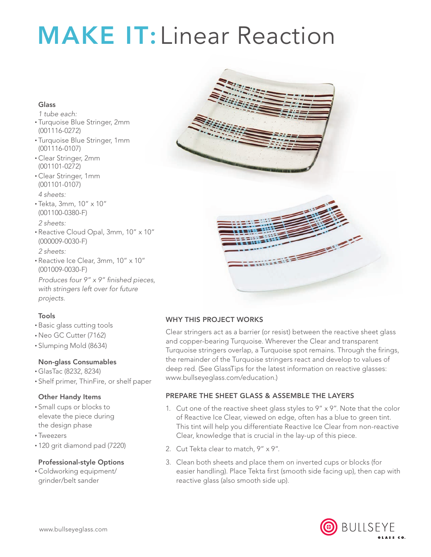# **MAKE IT: Linear Reaction**

#### Glass

*1 tube each:*

- Turquoise Blue Stringer, 2mm (001116-0272)
- • Turquoise Blue Stringer, 1mm (001116-0107)
- • Clear Stringer, 2mm (001101-0272)
- • Clear Stringer, 1mm (001101-0107) *4 sheets:*
- • Tekta, 3mm, 10" x 10" (001100-0380-F)

*2 sheets:*

- • Reactive Cloud Opal, 3mm, 10" x 10" (000009-0030-F) *2 sheets:*
- • Reactive Ice Clear, 3mm, 10" x 10" (001009-0030-F)

*Produces four 9" x 9" finished pieces, with stringers left over for future projects.*

# Tools

- • Basic glass cutting tools
- • Neo GC Cutter (7162)
- • Slumping Mold (8634)

# Non-glass Consumables

- • GlasTac (8232, 8234)
- • Shelf primer, ThinFire, or shelf paper

# Other Handy Items

- • Small cups or blocks to elevate the piece during the design phase
- • Tweezers
- • 120 grit diamond pad (7220)

#### Professional-style Options

• Coldworking equipment/ grinder/belt sander





# Why This Project Works

Clear stringers act as a barrier (or resist) between the reactive sheet glass and copper-bearing Turquoise. Wherever the Clear and transparent Turquoise stringers overlap, a Turquoise spot remains. Through the firings, the remainder of the Turquoise stringers react and develop to values of deep red. (See GlassTips for the latest information on reactive glasses: www.bullseyeglass.com/education.)

# Prepare the Sheet Glass & Assemble the Layers

- 1. Cut one of the reactive sheet glass styles to  $9'' \times 9''$ . Note that the color of Reactive Ice Clear, viewed on edge, often has a blue to green tint. This tint will help you differentiate Reactive Ice Clear from non-reactive Clear, knowledge that is crucial in the lay-up of this piece.
- 2. Cut Tekta clear to match, 9" x 9".
- 3. Clean both sheets and place them on inverted cups or blocks (for easier handling). Place Tekta first (smooth side facing up), then cap with reactive glass (also smooth side up).